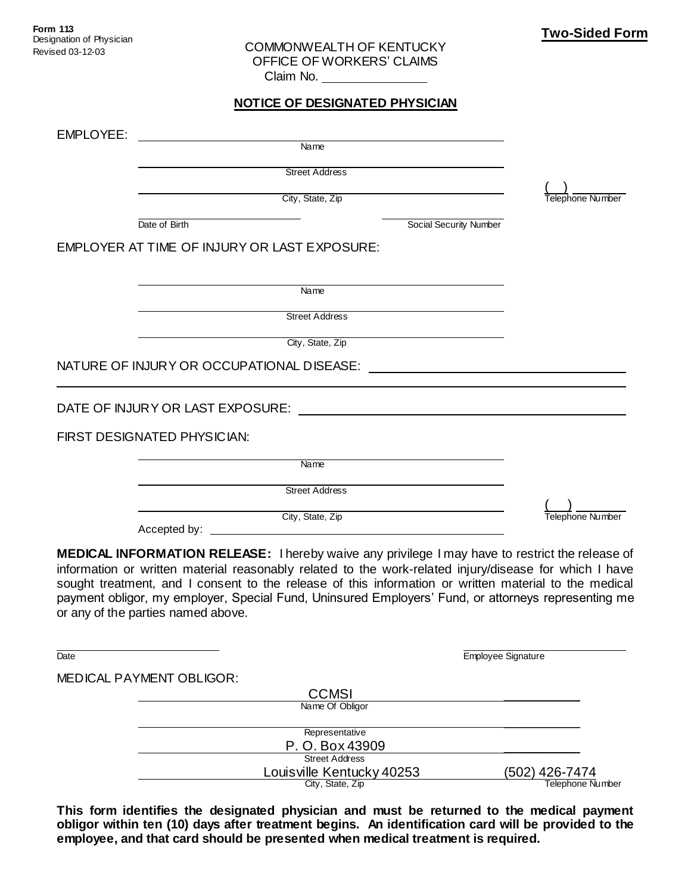COMMONWEALTH OF KENTUCKY OFFICE OF WORKERS' CLAIMS Claim No.

## **NOTICE OF DESIGNATED PHYSICIAN**

| EMPLOYEE:                                    |                                                            |                  |
|----------------------------------------------|------------------------------------------------------------|------------------|
| Name                                         |                                                            |                  |
| <b>Street Address</b>                        |                                                            |                  |
| City, State, Zip                             |                                                            | Telephone Number |
| Date of Birth                                | Social Security Number                                     |                  |
| EMPLOYER AT TIME OF INJURY OR LAST EXPOSURE: |                                                            |                  |
|                                              |                                                            |                  |
| Name                                         |                                                            |                  |
| <b>Street Address</b>                        |                                                            |                  |
| City, State, Zip                             |                                                            |                  |
| NATURE OF INJURY OR OCCUPATIONAL DISEASE:    | <u> 1989 - John Stein, mars and de Brazilian (b. 1989)</u> |                  |
| DATE OF INJURY OR LAST EXPOSURE:             |                                                            |                  |
| FIRST DESIGNATED PHYSICIAN:                  |                                                            |                  |
| Name                                         |                                                            |                  |
| <b>Street Address</b>                        |                                                            |                  |
| City, State, Zip                             |                                                            | Telephone Number |

Accepted by: \_\_

**MEDICAL INFORMATION RELEASE:** I hereby waive any privilege I may have to restrict the release of information or written material reasonably related to the work-related injury/disease for which I have sought treatment, and I consent to the release of this information or written material to the medical payment obligor, my employer, Special Fund, Uninsured Employers' Fund, or attorneys representing me or any of the parties named above.

Date **Employee Signature** MEDICAL PAYMENT OBLIGOR: CCMSI \_\_\_\_\_\_\_\_\_\_ Name Of Obligor  $\overline{\phantom{a}}$  ,  $\overline{\phantom{a}}$  ,  $\overline{\phantom{a}}$  ,  $\overline{\phantom{a}}$  ,  $\overline{\phantom{a}}$  ,  $\overline{\phantom{a}}$  ,  $\overline{\phantom{a}}$  ,  $\overline{\phantom{a}}$  ,  $\overline{\phantom{a}}$  ,  $\overline{\phantom{a}}$  ,  $\overline{\phantom{a}}$  ,  $\overline{\phantom{a}}$  ,  $\overline{\phantom{a}}$  ,  $\overline{\phantom{a}}$  ,  $\overline{\phantom{a}}$  ,  $\overline{\phantom{a}}$ Representative P. O. Box 43909 Street Address Louisville Kentucky 40253 (502) 426-7474<br>City, State, Zip City, State, 202 Telephone Number

**This form identifies the designated physician and must be returned to the medical payment obligor within ten (10) days after treatment begins. An identification card will be provided to the employee, and that card should be presented when medical treatment is required.**